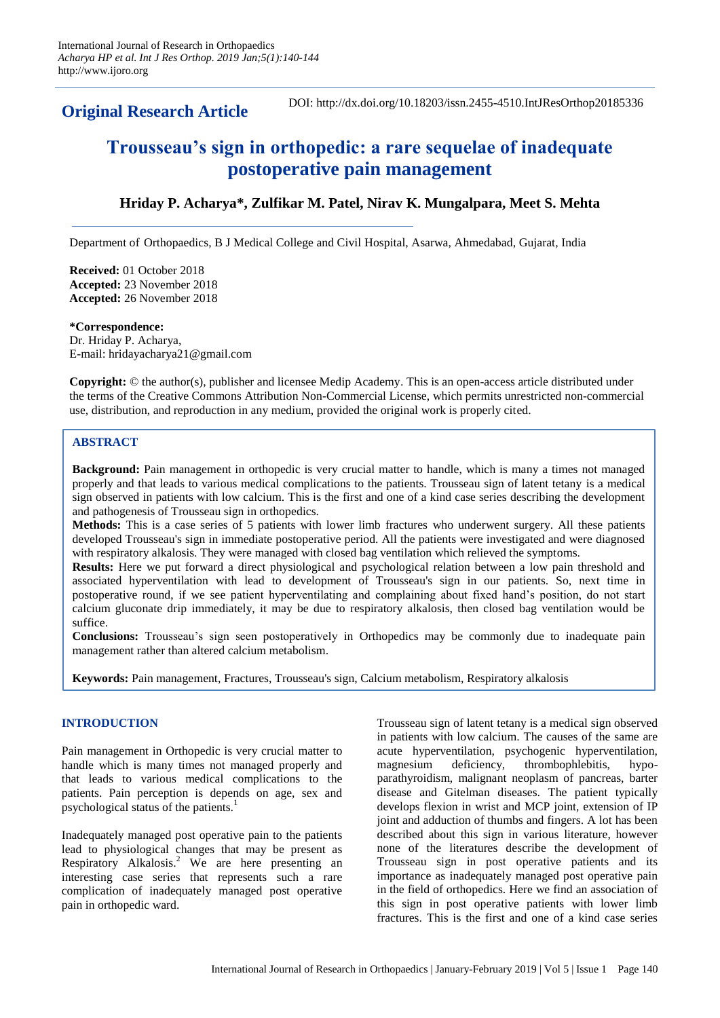**Original Research Article**

DOI: http://dx.doi.org/10.18203/issn.2455-4510.IntJResOrthop20185336

# **Trousseau's sign in orthopedic: a rare sequelae of inadequate postoperative pain management**

# **Hriday P. Acharya\*, Zulfikar M. Patel, Nirav K. Mungalpara, Meet S. Mehta**

Department of Orthopaedics, B J Medical College and Civil Hospital, Asarwa, Ahmedabad, Gujarat, India

**Received:** 01 October 2018 **Accepted:** 23 November 2018 **Accepted:** 26 November 2018

**\*Correspondence:** Dr. Hriday P. Acharya, E-mail: hridayacharya21@gmail.com

**Copyright:** © the author(s), publisher and licensee Medip Academy. This is an open-access article distributed under the terms of the Creative Commons Attribution Non-Commercial License, which permits unrestricted non-commercial use, distribution, and reproduction in any medium, provided the original work is properly cited.

# **ABSTRACT**

**Background:** Pain management in orthopedic is very crucial matter to handle, which is many a times not managed properly and that leads to various medical complications to the patients. Trousseau sign of latent tetany is a medical sign observed in patients with low calcium. This is the first and one of a kind case series describing the development and pathogenesis of Trousseau sign in orthopedics.

**Methods:** This is a case series of 5 patients with lower limb fractures who underwent surgery. All these patients developed Trousseau's sign in immediate postoperative period. All the patients were investigated and were diagnosed with respiratory alkalosis. They were managed with closed bag ventilation which relieved the symptoms.

**Results:** Here we put forward a direct physiological and psychological relation between a low pain threshold and associated hyperventilation with lead to development of Trousseau's sign in our patients. So, next time in postoperative round, if we see patient hyperventilating and complaining about fixed hand's position, do not start calcium gluconate drip immediately, it may be due to respiratory alkalosis, then closed bag ventilation would be suffice.

**Conclusions:** Trousseau's sign seen postoperatively in Orthopedics may be commonly due to inadequate pain management rather than altered calcium metabolism.

**Keywords:** Pain management, Fractures, Trousseau's sign, Calcium metabolism, Respiratory alkalosis

## **INTRODUCTION**

Pain management in Orthopedic is very crucial matter to handle which is many times not managed properly and that leads to various medical complications to the patients. Pain perception is depends on age, sex and psychological status of the patients.<sup>1</sup>

Inadequately managed post operative pain to the patients lead to physiological changes that may be present as Respiratory Alkalosis.<sup>2</sup> We are here presenting an interesting case series that represents such a rare complication of inadequately managed post operative pain in orthopedic ward.

Trousseau sign of latent tetany is a medical sign observed in patients with low calcium. The causes of the same are acute hyperventilation, psychogenic hyperventilation, magnesium deficiency, thrombophlebitis, hypoparathyroidism, malignant neoplasm of pancreas, barter disease and Gitelman diseases. The patient typically develops flexion in wrist and MCP joint, extension of IP joint and adduction of thumbs and fingers. A lot has been described about this sign in various literature, however none of the literatures describe the development of Trousseau sign in post operative patients and its importance as inadequately managed post operative pain in the field of orthopedics. Here we find an association of this sign in post operative patients with lower limb fractures. This is the first and one of a kind case series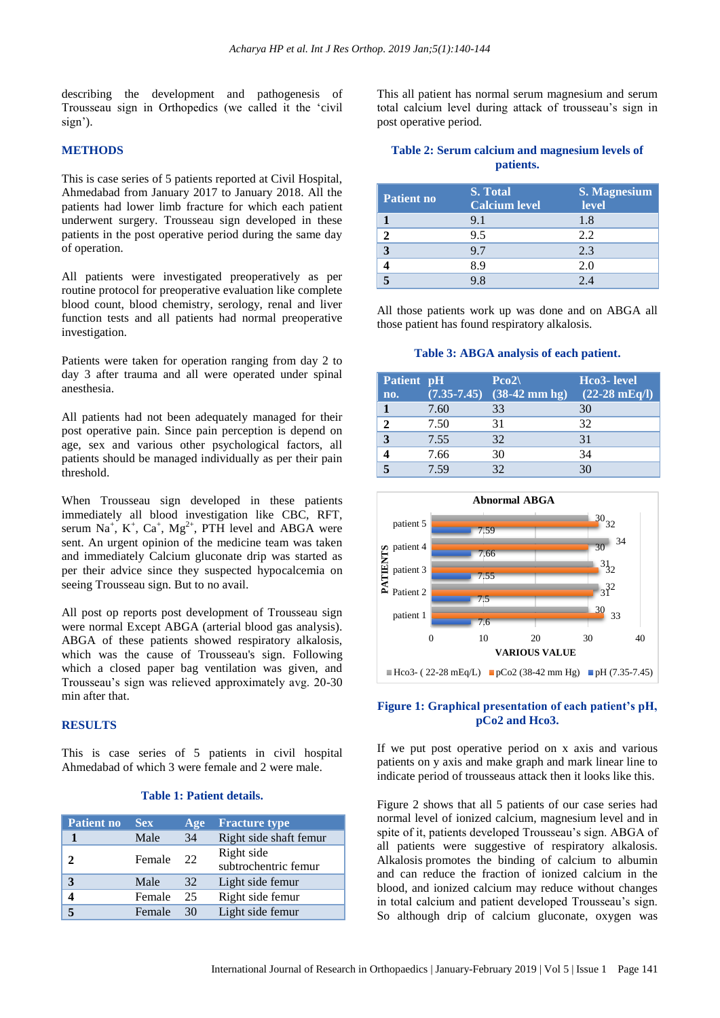describing the development and pathogenesis of Trousseau sign in Orthopedics (we called it the 'civil sign').

#### **METHODS**

This is case series of 5 patients reported at Civil Hospital, Ahmedabad from January 2017 to January 2018. All the patients had lower limb fracture for which each patient underwent surgery. Trousseau sign developed in these patients in the post operative period during the same day of operation.

All patients were investigated preoperatively as per routine protocol for preoperative evaluation like complete blood count, blood chemistry, serology, renal and liver function tests and all patients had normal preoperative investigation.

Patients were taken for operation ranging from day 2 to day 3 after trauma and all were operated under spinal anesthesia.

All patients had not been adequately managed for their post operative pain. Since pain perception is depend on age, sex and various other psychological factors, all patients should be managed individually as per their pain threshold.

When Trousseau sign developed in these patients immediately all blood investigation like CBC, RFT, serum Na<sup>+</sup>, K<sup>+</sup>, Ca<sup>+</sup>, Mg<sup>2+</sup>, PTH level and ABGA were sent. An urgent opinion of the medicine team was taken and immediately Calcium gluconate drip was started as per their advice since they suspected hypocalcemia on seeing Trousseau sign. But to no avail.

All post op reports post development of Trousseau sign were normal Except ABGA (arterial blood gas analysis). ABGA of these patients showed respiratory alkalosis, which was the cause of Trousseau's sign. Following which a closed paper bag ventilation was given, and Trousseau's sign was relieved approximately avg. 20-30 min after that.

## **RESULTS**

This is case series of 5 patients in civil hospital Ahmedabad of which 3 were female and 2 were male.

#### **Table 1: Patient details.**

| <b>Patient no</b> | <b>Sex</b> | Age | <b>Fracture type</b>               |
|-------------------|------------|-----|------------------------------------|
|                   | Male       | 34  | Right side shaft femur             |
| 7.                | Female     | 22  | Right side<br>subtrochentric femur |
|                   | Male       | 32  | Light side femur                   |
|                   | Female     | 25  | Right side femur                   |
|                   | Female     | 30  | Light side femur                   |

This all patient has normal serum magnesium and serum total calcium level during attack of trousseau's sign in post operative period.

## **Table 2: Serum calcium and magnesium levels of patients.**

| <b>Patient no</b> | S. Total<br><b>Calcium level</b> | <b>S. Magnesium</b><br>level |
|-------------------|----------------------------------|------------------------------|
|                   | 9.1                              | 1.8                          |
|                   | 9.5                              | 2.2                          |
| 3                 | 9.7                              | 2.3                          |
|                   | 89                               | 2.0                          |
|                   |                                  | 2 A                          |

All those patients work up was done and on ABGA all those patient has found respiratory alkalosis.

#### **Table 3: ABGA analysis of each patient.**

| Patient pH |      | $Pco2\$                               | Hco3- level             |
|------------|------|---------------------------------------|-------------------------|
| no.        |      | $(7.35-7.45)$ $(38-42 \text{ mm hg})$ | $(22-28 \text{ mEq/l})$ |
|            | 7.60 | 33                                    | 30                      |
| 2          | 7.50 | 31                                    | 32                      |
| 3          | 7.55 | 32                                    | 31                      |
|            | 7.66 | 30                                    | 34                      |
|            | 7.59 | $32^{\circ}$                          |                         |



## **Figure 1: Graphical presentation of each patient's pH, pCo2 and Hco3.**

If we put post operative period on x axis and various patients on y axis and make graph and mark linear line to indicate period of trousseaus attack then it looks like this.

Figure 2 shows that all 5 patients of our case series had normal level of ionized calcium, magnesium level and in spite of it, patients developed Trousseau's sign. ABGA of all patients were suggestive of respiratory alkalosis. Alkalosis promotes the binding of calcium to albumin and can reduce the fraction of ionized calcium in the blood, and ionized calcium may reduce without changes in total calcium and patient developed Trousseau's sign. So although drip of calcium gluconate, oxygen was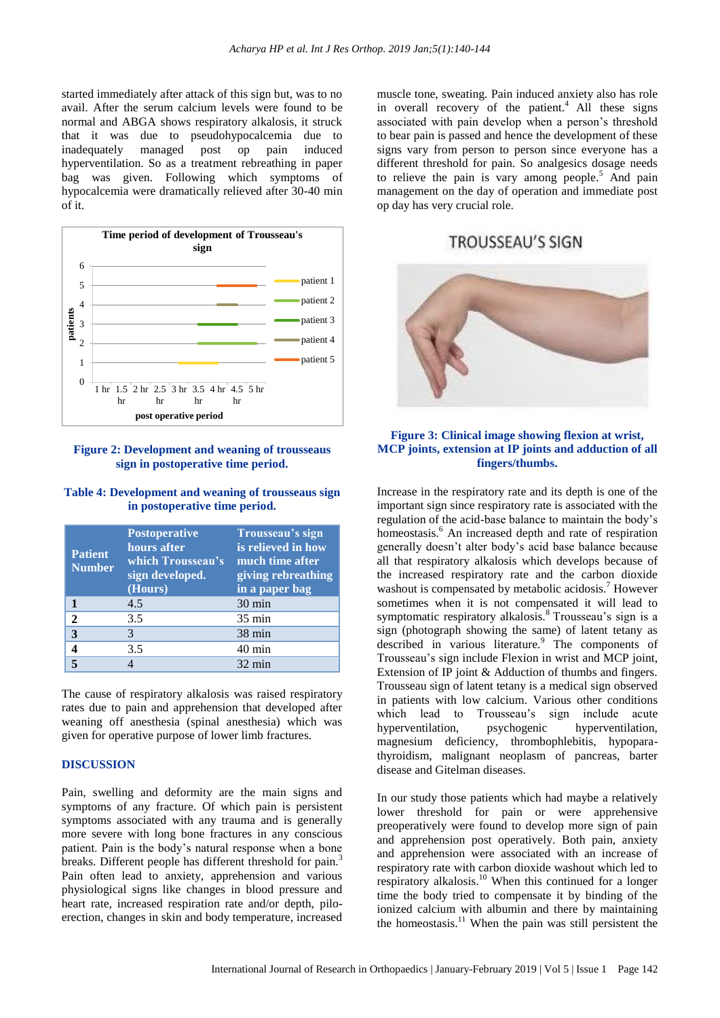started immediately after attack of this sign but, was to no avail. After the serum calcium levels were found to be normal and ABGA shows respiratory alkalosis, it struck that it was due to pseudohypocalcemia due to inadequately managed post op pain induced hyperventilation. So as a treatment rebreathing in paper bag was given. Following which symptoms of hypocalcemia were dramatically relieved after 30-40 min of it.



#### **Figure 2: Development and weaning of trousseaus sign in postoperative time period.**

## **Table 4: Development and weaning of trousseaus sign in postoperative time period.**

| <b>Patient</b><br><b>Number</b> | <b>Postoperative</b><br>hours after<br>which Trousseau's<br>sign developed.<br>(Hours) | Trousseau's sign<br>is relieved in how<br>much time after<br>giving rebreathing<br>in a paper bag |
|---------------------------------|----------------------------------------------------------------------------------------|---------------------------------------------------------------------------------------------------|
|                                 | 4.5                                                                                    | $30 \text{ min}$                                                                                  |
| $\mathbf{2}$                    | 3.5                                                                                    | $35 \text{ min}$                                                                                  |
| 3                               | 3                                                                                      | $38 \text{ min}$                                                                                  |
|                                 | 3.5                                                                                    | 40 min                                                                                            |
|                                 |                                                                                        | $32 \text{ min}$                                                                                  |

The cause of respiratory alkalosis was raised respiratory rates due to pain and apprehension that developed after weaning off anesthesia (spinal anesthesia) which was given for operative purpose of lower limb fractures.

#### **DISCUSSION**

Pain, swelling and deformity are the main signs and symptoms of any fracture. Of which pain is persistent symptoms associated with any trauma and is generally more severe with long bone fractures in any conscious patient. Pain is the body's natural response when a bone breaks. Different people has different threshold for pain.<sup>3</sup> Pain often lead to anxiety, apprehension and various physiological signs like changes in blood pressure and heart rate, increased respiration rate and/or depth, piloerection, changes in skin and body temperature, increased

muscle tone, sweating. Pain induced anxiety also has role in overall recovery of the patient.<sup>4</sup> All these signs associated with pain develop when a person's threshold to bear pain is passed and hence the development of these signs vary from person to person since everyone has a different threshold for pain. So analgesics dosage needs to relieve the pain is vary among people.<sup>5</sup> And pain management on the day of operation and immediate post op day has very crucial role.

# **TROUSSEAU'S SIGN**



## **Figure 3: Clinical image showing flexion at wrist, MCP joints, extension at IP joints and adduction of all fingers/thumbs.**

Increase in the respiratory rate and its depth is one of the important sign since respiratory rate is associated with the regulation of the acid-base balance to maintain the body's homeostasis.<sup>6</sup> An increased depth and rate of respiration generally doesn't alter body's acid base balance because all that respiratory alkalosis which develops because of the increased respiratory rate and the carbon dioxide washout is compensated by metabolic acidosis.<sup>7</sup> However sometimes when it is not compensated it will lead to symptomatic respiratory alkalosis.<sup>8</sup> Trousseau's sign is a sign (photograph showing the same) of latent tetany as described in various literature.<sup>9</sup> The components of Trousseau's sign include Flexion in wrist and MCP joint, Extension of IP joint & Adduction of thumbs and fingers. Trousseau sign of latent tetany is a medical sign observed in patients with low calcium. Various other conditions which lead to Trousseau's sign include acute hyperventilation, psychogenic hyperventilation, magnesium deficiency, thrombophlebitis, hypoparathyroidism, malignant neoplasm of pancreas, barter disease and Gitelman diseases.

In our study those patients which had maybe a relatively lower threshold for pain or were apprehensive preoperatively were found to develop more sign of pain and apprehension post operatively. Both pain, anxiety and apprehension were associated with an increase of respiratory rate with carbon dioxide washout which led to respiratory alkalosis.<sup>10</sup> When this continued for a longer time the body tried to compensate it by binding of the ionized calcium with albumin and there by maintaining the homeostasis.<sup>11</sup> When the pain was still persistent the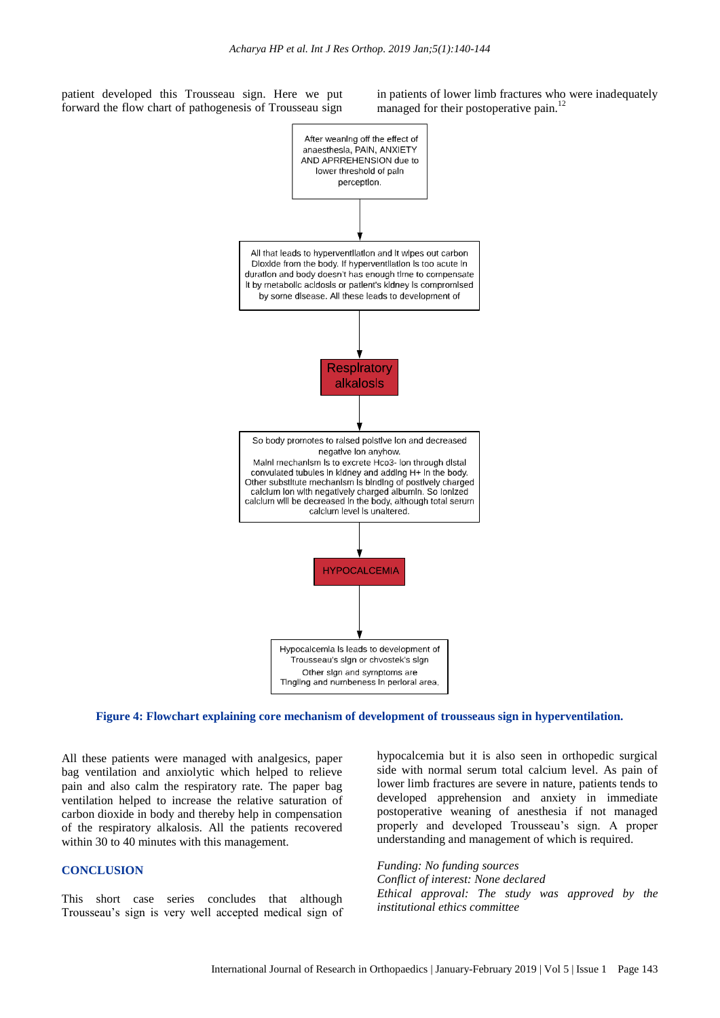patient developed this Trousseau sign. Here we put forward the flow chart of pathogenesis of Trousseau sign in patients of lower limb fractures who were inadequately managed for their postoperative pain.<sup>12</sup>



**Figure 4: Flowchart explaining core mechanism of development of trousseaus sign in hyperventilation.**

All these patients were managed with analgesics, paper bag ventilation and anxiolytic which helped to relieve pain and also calm the respiratory rate. The paper bag ventilation helped to increase the relative saturation of carbon dioxide in body and thereby help in compensation of the respiratory alkalosis. All the patients recovered within 30 to 40 minutes with this management.

#### **CONCLUSION**

This short case series concludes that although Trousseau's sign is very well accepted medical sign of hypocalcemia but it is also seen in orthopedic surgical side with normal serum total calcium level. As pain of lower limb fractures are severe in nature, patients tends to developed apprehension and anxiety in immediate postoperative weaning of anesthesia if not managed properly and developed Trousseau's sign. A proper understanding and management of which is required.

*Funding: No funding sources Conflict of interest: None declared Ethical approval: The study was approved by the institutional ethics committee*